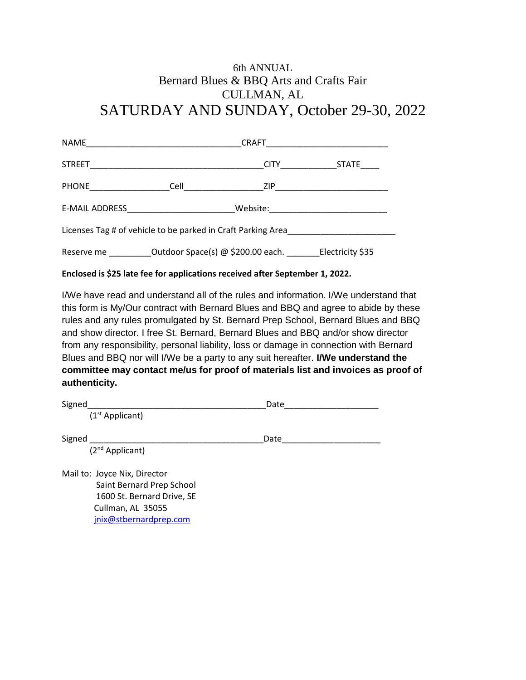## 6th ANNUAL Bernard Blues & BBQ Arts and Crafts Fair CULLMAN, AL SATURDAY AND SUNDAY, October 29-30, 2022

|                                                              |  |                                                                                   | CITY STATE                           |  |  |
|--------------------------------------------------------------|--|-----------------------------------------------------------------------------------|--------------------------------------|--|--|
|                                                              |  |                                                                                   |                                      |  |  |
|                                                              |  |                                                                                   | Website: ___________________________ |  |  |
| Licenses Tag # of vehicle to be parked in Craft Parking Area |  |                                                                                   |                                      |  |  |
|                                                              |  | Reserve me ____________Outdoor Space(s) @ \$200.00 each. ________Electricity \$35 |                                      |  |  |

## **Enclosed is \$25 late fee for applications received after September 1, 2022.**

I/We have read and understand all of the rules and information. I/We understand that this form is My/Our contract with Bernard Blues and BBQ and agree to abide by these rules and any rules promulgated by St. Bernard Prep School, Bernard Blues and BBQ and show director. I free St. Bernard, Bernard Blues and BBQ and/or show director from any responsibility, personal liability, loss or damage in connection with Bernard Blues and BBQ nor will I/We be a party to any suit hereafter. **I/We understand the committee may contact me/us for proof of materials list and invoices as proof of authenticity.** 

| Signed                       | Date |  |
|------------------------------|------|--|
| $(1st$ Applicant)            |      |  |
| Signed                       | Date |  |
| (2 <sup>nd</sup> Applicant)  |      |  |
| Mail to: Joyce Nix, Director |      |  |
| Saint Bernard Prep School    |      |  |
| 1600 St. Bernard Drive, SE   |      |  |
| Cullman, AL 35055            |      |  |
| jnix@stbernardprep.com       |      |  |